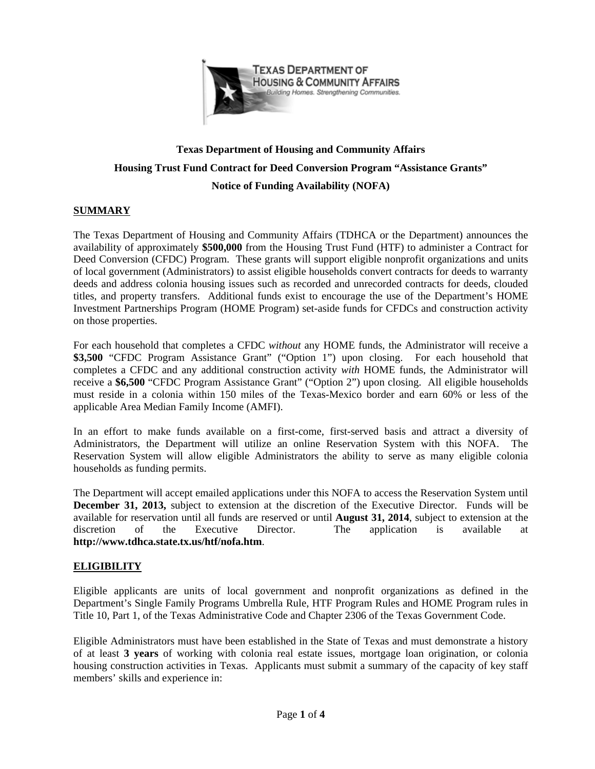

# **Texas Department of Housing and Community Affairs Housing Trust Fund Contract for Deed Conversion Program "Assistance Grants" Notice of Funding Availability (NOFA)**

## **SUMMARY**

The Texas Department of Housing and Community Affairs (TDHCA or the Department) announces the availability of approximately **\$500,000** from the Housing Trust Fund (HTF) to administer a Contract for Deed Conversion (CFDC) Program. These grants will support eligible nonprofit organizations and units of local government (Administrators) to assist eligible households convert contracts for deeds to warranty deeds and address colonia housing issues such as recorded and unrecorded contracts for deeds, clouded titles, and property transfers. Additional funds exist to encourage the use of the Department's HOME Investment Partnerships Program (HOME Program) set-aside funds for CFDCs and construction activity on those properties.

For each household that completes a CFDC *without* any HOME funds, the Administrator will receive a **\$3,500** "CFDC Program Assistance Grant" ("Option 1") upon closing. For each household that completes a CFDC and any additional construction activity *with* HOME funds, the Administrator will receive a **\$6,500** "CFDC Program Assistance Grant" ("Option 2") upon closing. All eligible households must reside in a colonia within 150 miles of the Texas-Mexico border and earn 60% or less of the applicable Area Median Family Income (AMFI).

In an effort to make funds available on a first-come, first-served basis and attract a diversity of Administrators, the Department will utilize an online Reservation System with this NOFA. The Reservation System will allow eligible Administrators the ability to serve as many eligible colonia households as funding permits.

The Department will accept emailed applications under this NOFA to access the Reservation System until **December 31, 2013,** subject to extension at the discretion of the Executive Director. Funds will be available for reservation until all funds are reserved or until **August 31, 2014**, subject to extension at the discretion of the Executive Director. The application is available at **http://www.tdhca.state.tx.us/htf/nofa.htm**.

## **ELIGIBILITY**

Eligible applicants are units of local government and nonprofit organizations as defined in the Department's Single Family Programs Umbrella Rule, HTF Program Rules and HOME Program rules in Title 10, Part 1, of the Texas Administrative Code and Chapter 2306 of the Texas Government Code.

Eligible Administrators must have been established in the State of Texas and must demonstrate a history of at least **3 years** of working with colonia real estate issues, mortgage loan origination, or colonia housing construction activities in Texas. Applicants must submit a summary of the capacity of key staff members' skills and experience in: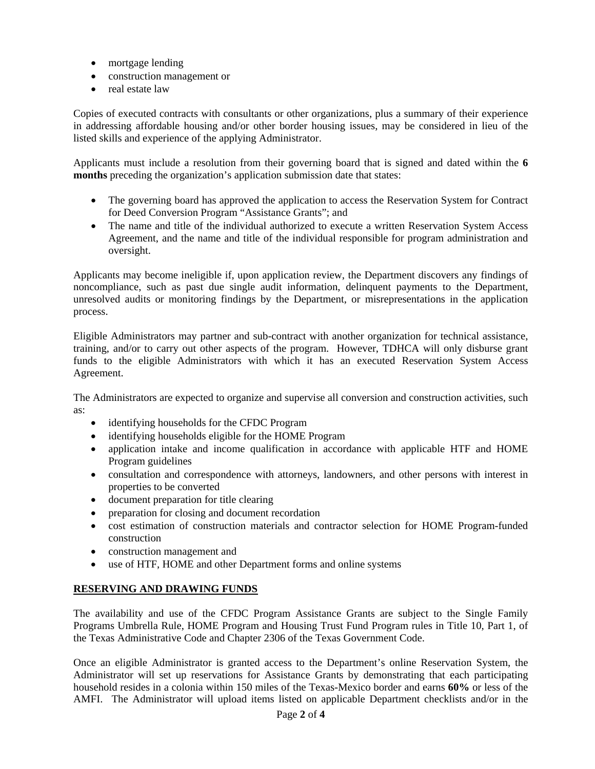- mortgage lending
- construction management or
- real estate law

Copies of executed contracts with consultants or other organizations, plus a summary of their experience in addressing affordable housing and/or other border housing issues, may be considered in lieu of the listed skills and experience of the applying Administrator.

Applicants must include a resolution from their governing board that is signed and dated within the **6 months** preceding the organization's application submission date that states:

- The governing board has approved the application to access the Reservation System for Contract for Deed Conversion Program "Assistance Grants"; and
- The name and title of the individual authorized to execute a written Reservation System Access Agreement, and the name and title of the individual responsible for program administration and oversight.

Applicants may become ineligible if, upon application review, the Department discovers any findings of noncompliance, such as past due single audit information, delinquent payments to the Department, unresolved audits or monitoring findings by the Department, or misrepresentations in the application process.

Eligible Administrators may partner and sub-contract with another organization for technical assistance, training, and/or to carry out other aspects of the program. However, TDHCA will only disburse grant funds to the eligible Administrators with which it has an executed Reservation System Access Agreement.

The Administrators are expected to organize and supervise all conversion and construction activities, such as:

- identifying households for the CFDC Program
- identifying households eligible for the HOME Program
- application intake and income qualification in accordance with applicable HTF and HOME Program guidelines
- consultation and correspondence with attorneys, landowners, and other persons with interest in properties to be converted
- document preparation for title clearing
- preparation for closing and document recordation
- cost estimation of construction materials and contractor selection for HOME Program-funded construction
- construction management and
- use of HTF, HOME and other Department forms and online systems

## **RESERVING AND DRAWING FUNDS**

The availability and use of the CFDC Program Assistance Grants are subject to the Single Family Programs Umbrella Rule, HOME Program and Housing Trust Fund Program rules in Title 10, Part 1, of the Texas Administrative Code and Chapter 2306 of the Texas Government Code.

Once an eligible Administrator is granted access to the Department's online Reservation System, the Administrator will set up reservations for Assistance Grants by demonstrating that each participating household resides in a colonia within 150 miles of the Texas-Mexico border and earns **60%** or less of the AMFI. The Administrator will upload items listed on applicable Department checklists and/or in the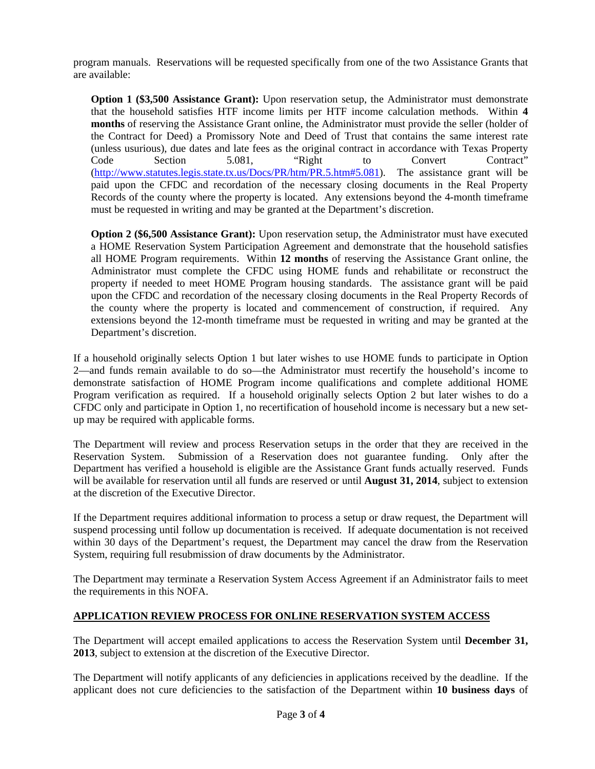program manuals. Reservations will be requested specifically from one of the two Assistance Grants that are available:

**Option 1 (\$3,500 Assistance Grant):** Upon reservation setup, the Administrator must demonstrate that the household satisfies HTF income limits per HTF income calculation methods. Within **4 months** of reserving the Assistance Grant online, the Administrator must provide the seller (holder of the Contract for Deed) a Promissory Note and Deed of Trust that contains the same interest rate (unless usurious), due dates and late fees as the original contract in accordance with Texas Property Code Section 5.081, "Right to Convert Contract" [\(http://www.statutes.legis.state.tx.us/Docs/PR/htm/PR.5.htm#5.081\)](http://www.statutes.legis.state.tx.us/Docs/PR/htm/PR.5.htm#5.081). The assistance grant will be paid upon the CFDC and recordation of the necessary closing documents in the Real Property Records of the county where the property is located. Any extensions beyond the 4-month timeframe must be requested in writing and may be granted at the Department's discretion.

**Option 2 (\$6,500 Assistance Grant):** Upon reservation setup, the Administrator must have executed a HOME Reservation System Participation Agreement and demonstrate that the household satisfies all HOME Program requirements. Within **12 months** of reserving the Assistance Grant online, the Administrator must complete the CFDC using HOME funds and rehabilitate or reconstruct the property if needed to meet HOME Program housing standards. The assistance grant will be paid upon the CFDC and recordation of the necessary closing documents in the Real Property Records of the county where the property is located and commencement of construction, if required. Any extensions beyond the 12-month timeframe must be requested in writing and may be granted at the Department's discretion.

If a household originally selects Option 1 but later wishes to use HOME funds to participate in Option 2—and funds remain available to do so—the Administrator must recertify the household's income to demonstrate satisfaction of HOME Program income qualifications and complete additional HOME Program verification as required. If a household originally selects Option 2 but later wishes to do a CFDC only and participate in Option 1, no recertification of household income is necessary but a new setup may be required with applicable forms.

The Department will review and process Reservation setups in the order that they are received in the Reservation System. Submission of a Reservation does not guarantee funding. Only after the Department has verified a household is eligible are the Assistance Grant funds actually reserved. Funds will be available for reservation until all funds are reserved or until **August 31, 2014**, subject to extension at the discretion of the Executive Director.

If the Department requires additional information to process a setup or draw request, the Department will suspend processing until follow up documentation is received. If adequate documentation is not received within 30 days of the Department's request, the Department may cancel the draw from the Reservation System, requiring full resubmission of draw documents by the Administrator.

The Department may terminate a Reservation System Access Agreement if an Administrator fails to meet the requirements in this NOFA.

## **APPLICATION REVIEW PROCESS FOR ONLINE RESERVATION SYSTEM ACCESS**

The Department will accept emailed applications to access the Reservation System until **December 31, 2013**, subject to extension at the discretion of the Executive Director.

The Department will notify applicants of any deficiencies in applications received by the deadline. If the applicant does not cure deficiencies to the satisfaction of the Department within **10 business days** of